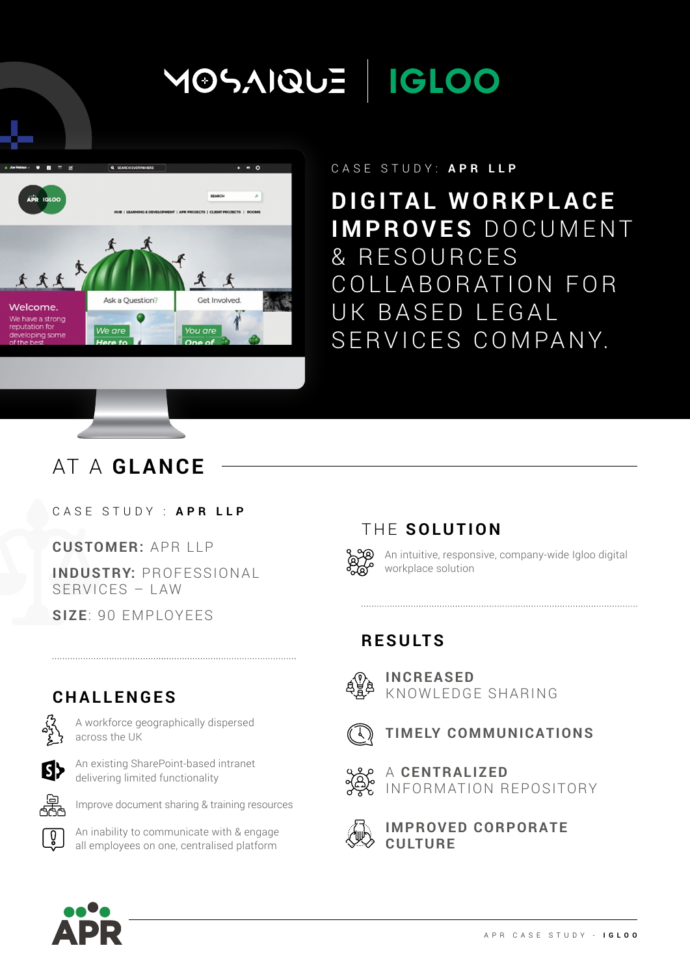# MOSAIQUE | IGLOO



#### CASE STUDY: **APR LLP**

**DIGITAL WORKPLACE IMPROVES** DOCUMENT & RESOURCES COLLABORATION FOR UK BASED LEGAL SERVICES COMPANY.

### AT A **GLANCE**

#### CASE STUDY : **APR LLP**

**CUSTOMER:** APR LLP

**INDUSTRY:** PROFESSION AL SERVICES – LAW

A workforce geographically dispersed

An existing SharePoint-based intranet delivering limited functionality

**Q** An inability to communicate with & engage all employees on one, centralised platform

Improve document sharing & training resources

**SIZE**: 90 EMPLOYEES

**CHALLENGES**

across the UK

ß}

썧

#### THE **SOLUTION**

An intuitive, responsive, company-wide Igloo digital workplace solution

#### **RESULTS**



**INCREASED**  KNOWLEDGE SHARING





A **CENTRALIZED**  INFORMATION REPOSITORY



**IMPROVED CORPORATE CULTURE**

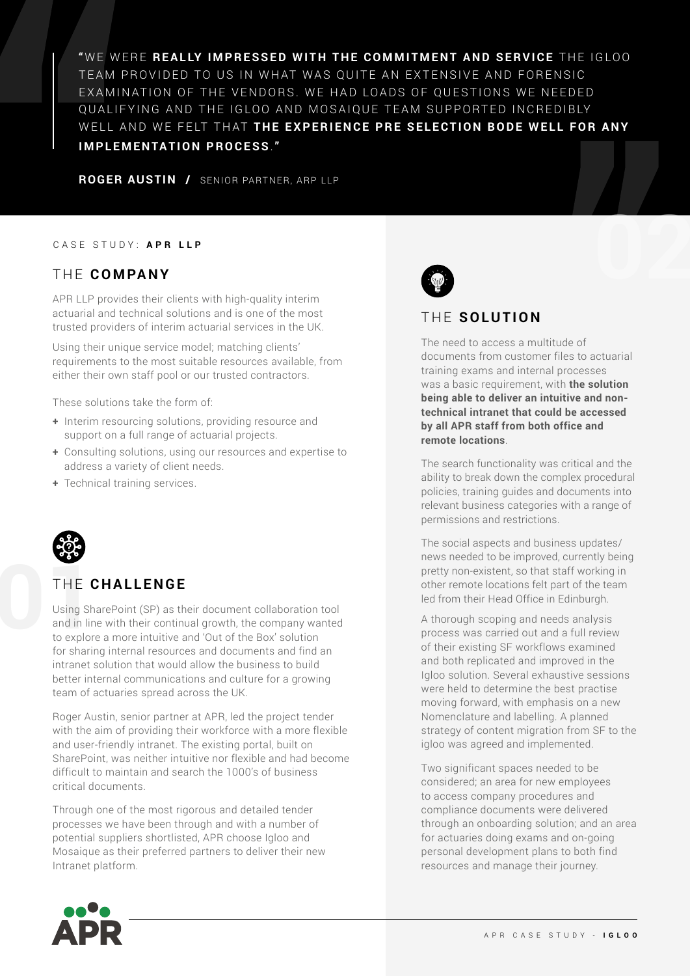"WE WERE REALLY IMPRESSED WITH THE COMMITMENT AND SERVICE THE IGLOO TEAM PROVIDED TO US IN WHAT WAS OUITE AN EXTENSIVE AND FORENSIC EXAMINATION OF THE VENDORS. WE HAD LOADS OF QUESTIONS WE NEEDED QUALIFYING AND THE IGLOO AND MOSAIOUE TEAM SUPPORTED INCREDIBLY WELL AND WE FELT THAT THE EXPERIENCE PRE SELECTION BODE WELL FOR ANY **IMPLEMENTATION PROCESS**.**"** 

**ROGER AUSTIN /** SENIOR PARTNER, ARP LLP

#### CASE STUDY: **APR LLP**

#### THE COMPANY

APR LLP provides their clients with high-quality interim actuarial and technical solutions and is one of the most trusted providers of interim actuarial services in the UK.

Using their unique service model; matching clients' requirements to the most suitable resources available, from either their own staff pool or our trusted contractors.

These solutions take the form of:

- **+** Interim resourcing solutions, providing resource and support on a full range of actuarial projects.
- **+** Consulting solutions, using our resources and expertise to address a variety of client needs.
- **+** Technical training services.



#### THE **CHALLENGE**

THE C<br>Using Sh<br>and in lin<br>to explore Using SharePoint (SP) as their document collaboration tool and in line with their continual growth, the company wanted to explore a more intuitive and 'Out of the Box' solution for sharing internal resources and documents and find an intranet solution that would allow the business to build better internal communications and culture for a growing team of actuaries spread across the UK.

> Roger Austin, senior partner at APR, led the project tender with the aim of providing their workforce with a more flexible and user-friendly intranet. The existing portal, built on SharePoint, was neither intuitive nor flexible and had become difficult to maintain and search the 1000's of business critical documents.

Through one of the most rigorous and detailed tender processes we have been through and with a number of potential suppliers shortlisted, APR choose Igloo and Mosaique as their preferred partners to deliver their new Intranet platform.



#### THE **SOLUTION**

The need to access a multitude of documents from customer files to actuarial training exams and internal processes was a basic requirement, with **the solution being able to deliver an intuitive and nontechnical intranet that could be accessed by all APR staff from both office and remote locations**.

The search functionality was critical and the ability to break down the complex procedural policies, training guides and documents into relevant business categories with a range of permissions and restrictions.

The social aspects and business updates/ news needed to be improved, currently being pretty non-existent, so that staff working in other remote locations felt part of the team led from their Head Office in Edinburgh.

A thorough scoping and needs analysis process was carried out and a full review of their existing SF workflows examined and both replicated and improved in the Igloo solution. Several exhaustive sessions were held to determine the best practise moving forward, with emphasis on a new Nomenclature and labelling. A planned strategy of content migration from SF to the igloo was agreed and implemented.

Two significant spaces needed to be considered; an area for new employees to access company procedures and compliance documents were delivered through an onboarding solution; and an area for actuaries doing exams and on-going personal development plans to both find resources and manage their journey.

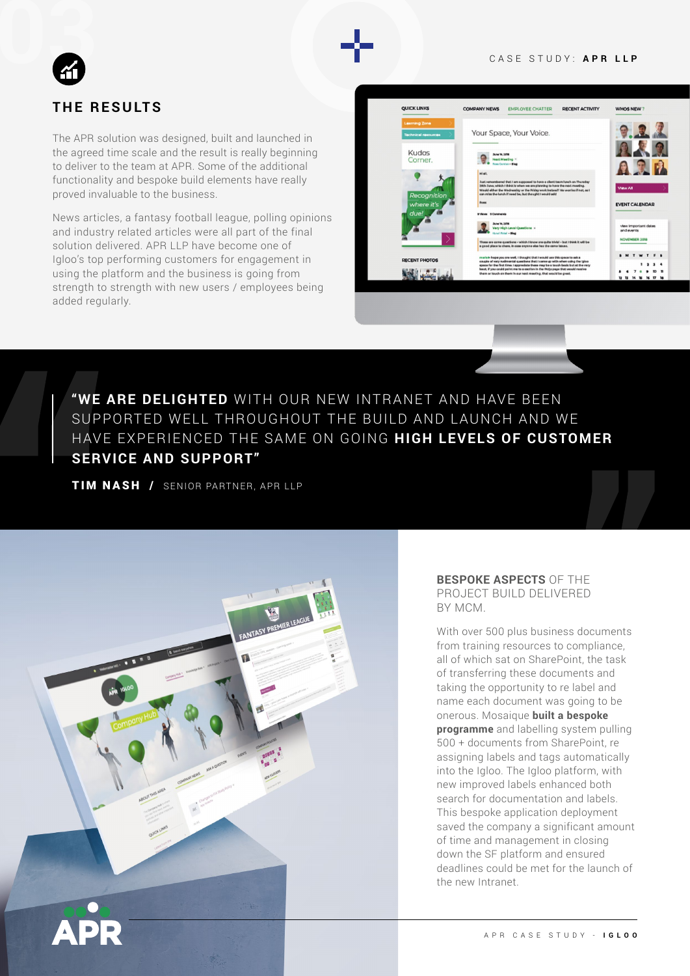#### CASE STUDY: **APR LLP**



#### **THE RESULTS**

The APR solution was designed, built and launched in the agreed time scale and the result is really beginning to deliver to the team at APR. Some of the additional functionality and bespoke build elements have really proved invaluable to the business.

News articles, a fantasy football league, polling opinions and industry related articles were all part of the final solution delivered. APR LLP have become one of Igloo's top performing customers for engagement in using the platform and the business is going from strength to strength with new users / employees being added regularly.

| <b>QUICK LINKS</b>         | <b>COMPANY NEWS</b><br><b>EMPLOYEE CHATTER</b>                                                                                                                                                                                                      | <b>RECENT ACTIVITY</b> | <b>WHOS NEW?</b>                   |
|----------------------------|-----------------------------------------------------------------------------------------------------------------------------------------------------------------------------------------------------------------------------------------------------|------------------------|------------------------------------|
| <b>Learning Zone</b>       |                                                                                                                                                                                                                                                     |                        |                                    |
| <b>Technical resources</b> | Your Space, Your Voice.                                                                                                                                                                                                                             |                        |                                    |
| Kudos                      | <b>June 14, 1878</b>                                                                                                                                                                                                                                |                        |                                    |
| Corner.                    | <b>Next Meeting Y</b><br><b>Boss Carolino . Blog</b>                                                                                                                                                                                                |                        |                                    |
|                            | <b>HEAR</b>                                                                                                                                                                                                                                         |                        |                                    |
|                            | Just remembered that I am exposed to have a clent team lunch on Thursday<br>38th June, which I think is when we are planning to have the next meeting.<br>Would althor the Wednesday or the Priday week instead? No worries if not, as I            |                        | View All                           |
| Recognition<br>where it's  | can miss the lunch if need be, but thought I would ask!<br><b>Boas</b>                                                                                                                                                                              |                        | <b>EVENT CALENDAR</b>              |
| due!                       | <b>B'Views B'Cunstractura</b>                                                                                                                                                                                                                       |                        |                                    |
|                            | <b>Bullet 34, 3478</b><br>Very High Level Questions -                                                                                                                                                                                               |                        | view important dates<br>and events |
|                            | <b>Street Fated - Mind</b><br>These are game guardons - which titruow are cuite trivial - but trivialit will be<br>a good place to chara, in case anyone else has the caree issues.                                                                 |                        | NOVEMBER 2018                      |
|                            | mariet- hope you are well, I thought that I would use this spece to sek a                                                                                                                                                                           |                        | S M T<br>W T                       |
| <b>RECENT PHOTOS</b>       | couple of very nutirearial questions that I cares up with when using the Iglea<br>goods for the first time, I appreciate these may be a touch back but at the very<br>least, if you could paint me to a section in the RAQs page that would receive |                        |                                    |
|                            | them or touch an them in our next reseling, that would be great.                                                                                                                                                                                    | .                      |                                    |

**"WE ARE DELIGHTED** WITH OUR NEW INTRANET AND HAVE BEEN SUPPORTED WELL THROUGHOUT THE BUILD AND LAUNCH AND WE HAVE EXPERIENCED THE SAME ON GOING **HIGH LEVELS OF CUSTOMER SERVICE AND SUPPORT"** 

TIM NASH / SENIOR PARTNER, APR LLP



#### **BESPOKE ASPECTS** OF THE PROJECT BUILD DELIVERED BY MCM.

With over 500 plus business documents from training resources to compliance, all of which sat on SharePoint, the task of transferring these documents and taking the opportunity to re label and name each document was going to be onerous. Mosaique **built a bespoke programme** and labelling system pulling 500 + documents from SharePoint, re assigning labels and tags automatically into the Igloo. The Igloo platform, with new improved labels enhanced both search for documentation and labels. This bespoke application deployment saved the company a significant amount of time and management in closing down the SF platform and ensured deadlines could be met for the launch of the new Intranet.